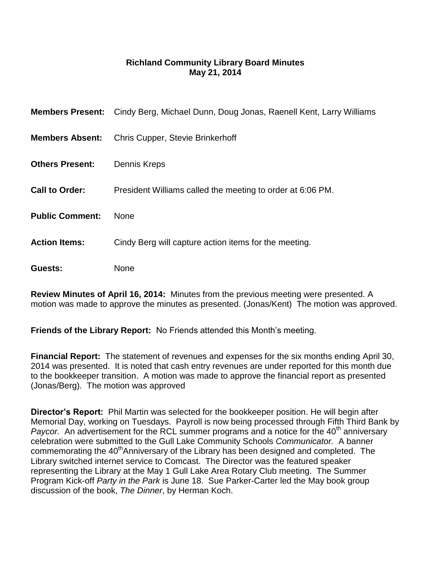## **Richland Community Library Board Minutes May 21, 2014**

|                        | <b>Members Present:</b> Cindy Berg, Michael Dunn, Doug Jonas, Raenell Kent, Larry Williams |
|------------------------|--------------------------------------------------------------------------------------------|
| <b>Members Absent:</b> | <b>Chris Cupper, Stevie Brinkerhoff</b>                                                    |
| <b>Others Present:</b> | Dennis Kreps                                                                               |
| <b>Call to Order:</b>  | President Williams called the meeting to order at 6:06 PM.                                 |
| <b>Public Comment:</b> | <b>None</b>                                                                                |
| <b>Action Items:</b>   | Cindy Berg will capture action items for the meeting.                                      |
| Guests:                | None                                                                                       |

**Review Minutes of April 16, 2014:** Minutes from the previous meeting were presented. A motion was made to approve the minutes as presented. (Jonas/Kent) The motion was approved.

**Friends of the Library Report:** No Friends attended this Month's meeting.

**Financial Report:** The statement of revenues and expenses for the six months ending April 30, 2014 was presented. It is noted that cash entry revenues are under reported for this month due to the bookkeeper transition. A motion was made to approve the financial report as presented (Jonas/Berg). The motion was approved

**Director's Report:** Phil Martin was selected for the bookkeeper position. He will begin after Memorial Day, working on Tuesdays. Payroll is now being processed through Fifth Third Bank by *Paycor.* An advertisement for the RCL summer programs and a notice for the 40<sup>th</sup> anniversary celebration were submitted to the Gull Lake Community Schools *Communicator.* A banner commemorating the 40<sup>th</sup>Anniversary of the Library has been designed and completed. The Library switched internet service to Comcast. The Director was the featured speaker representing the Library at the May 1 Gull Lake Area Rotary Club meeting. The Summer Program Kick-off *Party in the Park* is June 18. Sue Parker-Carter led the May book group discussion of the book, *The Dinner*, by Herman Koch.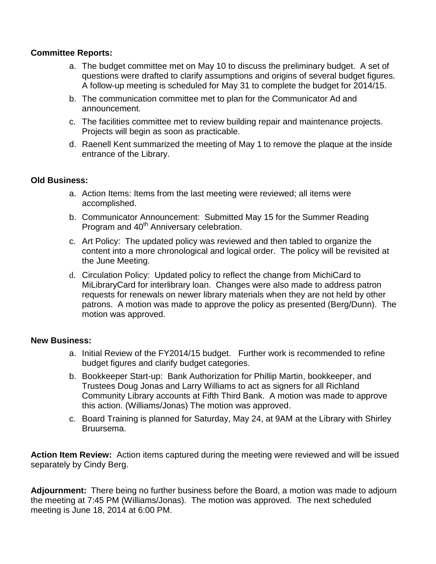## **Committee Reports:**

- a. The budget committee met on May 10 to discuss the preliminary budget. A set of questions were drafted to clarify assumptions and origins of several budget figures. A follow-up meeting is scheduled for May 31 to complete the budget for 2014/15.
- b. The communication committee met to plan for the Communicator Ad and announcement.
- c. The facilities committee met to review building repair and maintenance projects. Projects will begin as soon as practicable.
- d. Raenell Kent summarized the meeting of May 1 to remove the plaque at the inside entrance of the Library.

## **Old Business:**

- a. Action Items: Items from the last meeting were reviewed; all items were accomplished.
- b. Communicator Announcement: Submitted May 15 for the Summer Reading Program and 40<sup>th</sup> Anniversary celebration.
- c. Art Policy: The updated policy was reviewed and then tabled to organize the content into a more chronological and logical order. The policy will be revisited at the June Meeting.
- d. Circulation Policy: Updated policy to reflect the change from MichiCard to MiLibraryCard for interlibrary loan. Changes were also made to address patron requests for renewals on newer library materials when they are not held by other patrons. A motion was made to approve the policy as presented (Berg/Dunn). The motion was approved.

## **New Business:**

- a. Initial Review of the FY2014/15 budget. Further work is recommended to refine budget figures and clarify budget categories.
- b. Bookkeeper Start-up: Bank Authorization for Phillip Martin, bookkeeper, and Trustees Doug Jonas and Larry Williams to act as signers for all Richland Community Library accounts at Fifth Third Bank. A motion was made to approve this action. (Williams/Jonas) The motion was approved.
- c. Board Training is planned for Saturday, May 24, at 9AM at the Library with Shirley Bruursema.

**Action Item Review:** Action items captured during the meeting were reviewed and will be issued separately by Cindy Berg.

**Adjournment:** There being no further business before the Board, a motion was made to adjourn the meeting at 7:45 PM (Williams/Jonas). The motion was approved. The next scheduled meeting is June 18, 2014 at 6:00 PM.